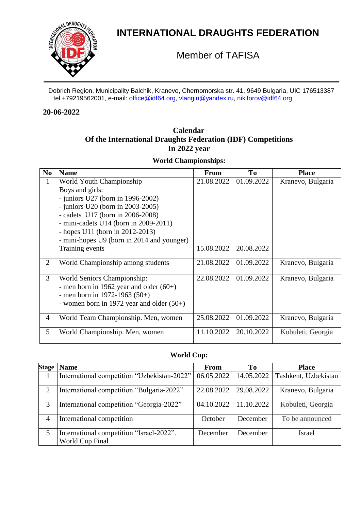

# **INTERNATIONAL DRAUGHTS FEDERATION**

Member of TAFISA

Dobrich Region, Municipality Balchik, Kranevo, Chernomorska str. 41, 9649 Bulgaria, UIC 176513387 tel.+79219562001, e-mail: [office@idf64.org,](mailto:office@idf64.org) [vlangin@yandex.ru,](mailto:vlangin@yandex.ru) [nikiforov@idf64.org](mailto:nikiforov@idf64.org)

#### **20-06-2022**

# **Calendar Of the International Draughts Federation (IDF) Competitions In 2022 year**

**World Championships:**

| N <sub>0</sub> | <b>Name</b>                                 | <b>From</b> | To         | <b>Place</b>      |
|----------------|---------------------------------------------|-------------|------------|-------------------|
| $\mathbf{1}$   | World Youth Championship                    | 21.08.2022  | 01.09.2022 | Kranevo, Bulgaria |
|                | Boys and girls:                             |             |            |                   |
|                | - juniors U27 (born in $1996-2002$ )        |             |            |                   |
|                | $-$ juniors U20 (born in 2003-2005)         |             |            |                   |
|                | - cadets $U17$ (born in 2006-2008)          |             |            |                   |
|                | - mini-cadets $U14$ (born in 2009-2011)     |             |            |                   |
|                | - hopes $U11$ (born in 2012-2013)           |             |            |                   |
|                | - mini-hopes U9 (born in 2014 and younger)  |             |            |                   |
|                | Training events                             | 15.08.2022  | 20.08.2022 |                   |
| $\overline{2}$ | World Championship among students           | 21.08.2022  | 01.09.2022 | Kranevo, Bulgaria |
|                |                                             |             |            |                   |
| 3              | World Seniors Championship:                 | 22.08.2022  | 01.09.2022 | Kranevo, Bulgaria |
|                | - men born in 1962 year and older $(60+)$   |             |            |                   |
|                | - men born in 1972-1963 $(50+)$             |             |            |                   |
|                | - women born in 1972 year and older $(50+)$ |             |            |                   |
|                |                                             |             |            |                   |
| $\overline{4}$ | World Team Championship. Men, women         | 25.08.2022  | 01.09.2022 | Kranevo, Bulgaria |
| 5              | World Championship. Men, women              | 11.10.2022  | 20.10.2022 | Kobuleti, Georgia |

### **World Cup:**

| <b>Stage</b>   | <b>Name</b>                                                 | <b>From</b>               | To         | <b>Place</b>         |
|----------------|-------------------------------------------------------------|---------------------------|------------|----------------------|
|                | International competition "Uzbekistan-2022"                 | $06.05.2022$   14.05.2022 |            | Tashkent, Uzbekistan |
| $\overline{2}$ | International competition "Bulgaria-2022"                   | 22.08.2022                | 29.08.2022 | Kranevo, Bulgaria    |
| 3              | International competition "Georgia-2022"                    | 04.10.2022                | 11.10.2022 | Kobuleti, Georgia    |
| 4              | International competition                                   | October                   | December   | To be announced      |
| 5              | International competition "Israel-2022".<br>World Cup Final | December                  | December   | Israel               |